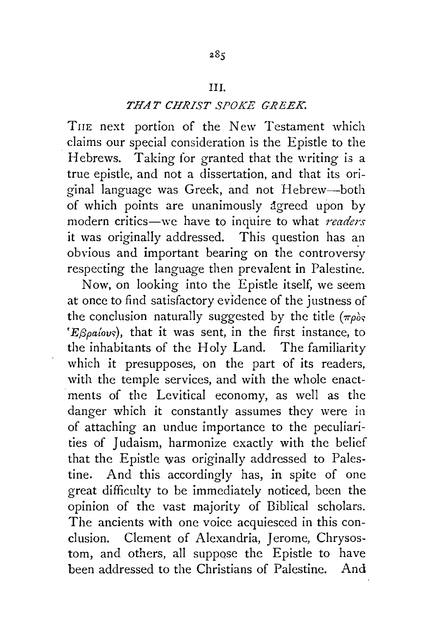## Ill.

## *THAT CHRIST SPOKE GREEK.*

THE next portion of the New Testament which . claims our special consideration is the Epistle to the Hebrews. Taking for granted that the writing is a true epistle, and not a dissertation, and that its original language was Greek, and not Hebrew-both of which points are unanimously agreed upon by modern critics-we have to inquire to what *readers*  it was originally addressed. This question has an obvious and important bearing on the controvers'y respecting the language then prevalent in Palestine.

Now, on looking into the Epistle itself, we seem at once to find satisfactory evidence of the justness of the conclusion naturally suggested by the title  $(\pi \rho)_{S}$ *'E<sub>Spa</sub>{ovs</sub>*), that it was sent, in the first instance, to the inhabitants of the Holy Land. The familiarity which it presupposes, on the part of its readers, with the temple services, and with the whole enactments of the Levitical economy, as well as the danger which it constantly assumes they were in of attaching an undue importance to the peculiarities of Judaism, harmonize exactly with the belief that the Epistle was originally addressed to Palestine. And this accordingly has, in spite of one great difficulty to be immediately noticed, been the opinion of the vast majority of Biblical scholars. The ancients with one voice acquiesced in this conclusion. Clement of Alexandria, Jerome, Chrysostom, and others, all suppose the Epistle to have been addressed to the Christians of Palestine. And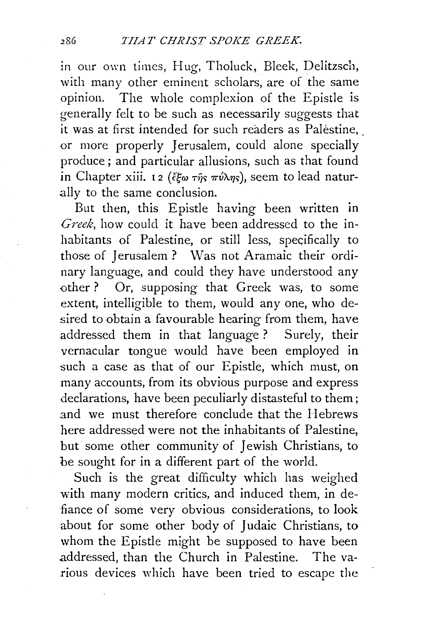in our own times, Hug, Tholuck, Bleek, Delitzsch, with many other eminent scholars, are of the same opinion. The whole complexion of the Epistle is generally felt to be such as necessarily suggests that it was at first intended for such readers as Palestine, or more properly Jerusalem, could alone specially produce ; and particular allusions, such as that found in Chapter xiii. 12 ( $\ell \in \pi \hat{n}_s \pi \hat{\nu} \lambda \eta_s$ ), seem to lead naturally to the same conclusion.

But then, this Epistle having been written in *Greek,* how could it have been addressed to the inhabitants of Palestine, or still less, specifically to those of Jerusalem ? Was not Aramaic their ordinary language, and could they have understood any other ? Or, supposing that Greek was, to some extent, intelligible to them, would any one, who desired to obtain a favourable hearing from them, have addressed them in that language ? Surely, their vernacular tongue would have been employed in such a case as that of our Epistle, which must, on many accounts, from its obvious purpose and express declarations, have been peculiarly distasteful to them; and we must therefore conclude that the Hebrews here addressed were not the inhabitants of Palestine, but some other community of Jewish Christians, to be sought for in a different part of the world.

Such is the great difficulty which has weighed with many modern critics, and induced them, in defiance of some very obvious considerations, to look about for some other body of Judaic Christians, to whom the Epistle might be supposed to have been addressed, than the Church in Palestine. The various devices which have been tried to escape the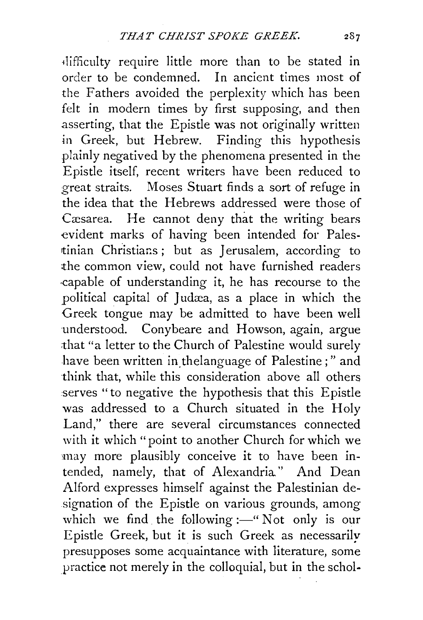-11ifficulty require little more than to be stated in order to be condemned. In ancient times most of the Fathers avoided the perplexity which has been felt in modern times by first supposing, and then asserting, that the Epistle was not originally written in Greek, but Hebrew. Finding this hypothesis plainly negatived by the phenomena presented in the Epistle itself, recent writers have been reduced to great straits. Moses Stuart finds a sort of refuge in the idea that the Hebrews addressed were those of Cæsarea. He cannot deny that the writing bears evident marks of having been intended for Palestinian Christians; but as Jerusalem, according to the common view, could not have furnished readers ·capable of understanding it, he has recourse to the political capital of Judæa, as a place in which the Greek tongue may be admitted to have been well understood. Conybeare and Howson, again, argue :that "a letter to the Church of Palestine would surely have been written in thelanguage of Palestine;" and think that, while this consideration above all others serves "to negative the hypothesis that this Epistle was addressed to a Church situated in the Holy Land," there are several circumstances connected with it which "point to another Church for which we may more plausibly conceive it to have been intended, namely, that of Alexandria." And Dean Alford expresses himself against the Palestinian designation of the Epistle on various grounds, among which we find the following: $-$ " Not only is our Epistle Greek, but it is such Greek as necessarily presupposes some acquaintance with literature, some practice not merely in the colloquial, but in the schol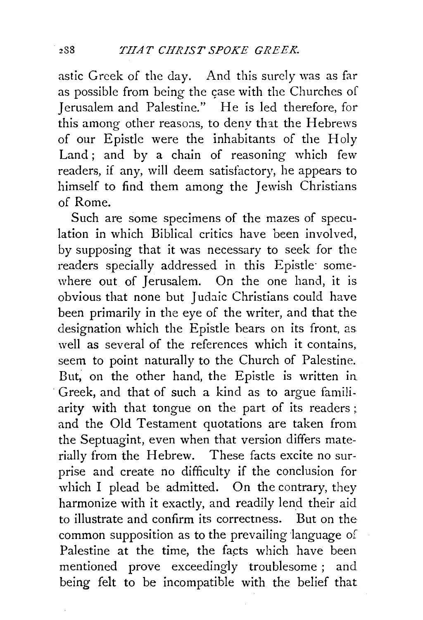astic Greek of the day. And this surely was as far as possible from being the case with the Churches of Jerusalem and Palestine." He is led therefore, for this among other reasons, to deny that the Hebrews of our Epistle were the inhabitants of the Holy Land; and by a chain of reasoning which few readers, if any, will deem satisfactory, he appears to himself to find them among the Jewish Christians of Rome.

Such are some specimens of the mazes of speculation in which Biblical critics have been involved, by supposing that it was necessary to seek for the readers specially addressed in this Epistle somewhere out of Jerusalem. On the one hand, it is obvious that none but Judaic Christians could have been primarily in the eye of the writer, and that the designation which the Epistle hears on its front, as well as several of the references which it contains, seem to point naturally to the Church of Palestine. But; on the other hand, the Epistle is written in · Greek, and that of such a kind as to argue familiarity with that tongue on the part of its readers ; and the Old Testament quotations are taken from the Septuagint, even when that version differs materially from the Hebrew. These facts excite no surprise and create no difficulty if the conclusion for which I plead be admitted. On the contrary, they harmonize with it exactly, and readily lend their aid to illustrate and confirm its correctness. But on the common supposition as to the prevailing language of Palestine at the time, the facts which have been mentioned prove exceedingly troublesome; and being felt to be incompatible with the belief that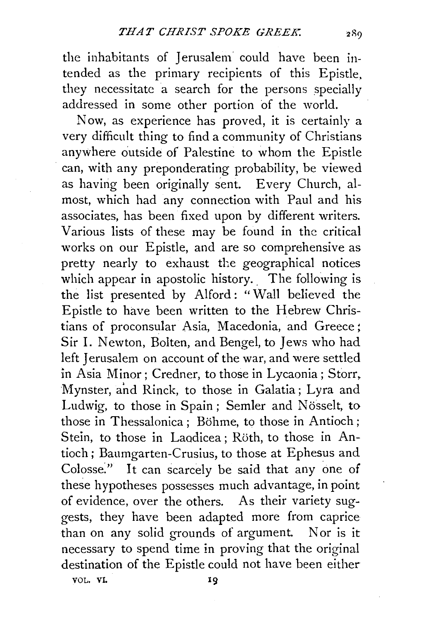the inhabitants of Jerusalem could have been intended as the primary recipients of this Epistle, they necessitate a search for the persons specially addressed in some other portion of the world.

Now, as experience has proved, it is certainly a very difficult thing to find a community of Christians anywhere outside of Palestine to whom the Epistle can, with any preponderating probability, be viewed as having been originally sent. Every Church, almost, which had any connection with Paul and his associates, has been fixed upon by different writers. Various lists of these may be found in the critical works on our Epistle, and are so comprehensive as pretty nearly to exhaust the geographical notices which appear in apostolic history. The following is the list presented by Alford: "Wall believed the Epistle to have been written to the Hebrew Christians of proconsular Asia, Macedonia, and Greece; Sir I. Newton, Bolten, and Bengel, to Jews who had left Jerusalem on account of the war, and were settled in Asia Minor; Credner, to those in Lycaonia; Storr, Mynster, and Rinck, to those in Galatia; Lyra and Ludwig, to those in Spain; Semler and Nösselt, to those in Thessalonica : Böhme, to those in Antioch ; Stein, to those in Laodicea ; Röth, to those in Antioch; Baumgarten-Crusius, to those at Ephesus and Colosse." It can scarcely be said that any one of these hypotheses possesses much advantage, in point of evidence, over the others. As their variety suggests, they have been adapted more from caprice than on any solid grounds of argument. Nor is it necessary to spend time in proving that the original destination of the Epistle could not have been either

VOL. VI.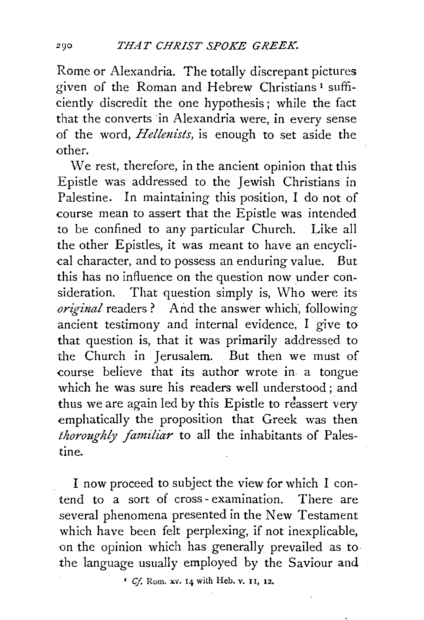Rome or Alexandria. The totally discrepant pictures given of the Roman and Hebrew Christians 1 sufficiently discredit the one hypothesis; while the fact that the converts in Alexandria were, in every sense of the word, *Hellmists,* is enough to set aside the other.

We rest, therefore, in the ancient opinion that this Epistle was addressed to the Jewish Christians in Palestine. In maintaining this position, I do not of course mean to assert that the Epistle was intended to be confined to any particular Church. Like all the other Epistles, it was meant to have an encyclical character, and to possess an enduring value. But this has no influence on the question now under consideration. That question simply is, Who were its *original* readers ? And the answer which, following ancient testimony and internal evidence, I give to that question is, that it was primarily addressed to the Church in Jerusalem. But then we must of course believe that its author wrote in. a tongue which he was sure his readers well understood ; and thus we are again led by this Epistle to reassert very emphatically the proposition that Greek was then *thoroughly familiar* to all the inhabitants of Palestine.

I now proceed to subject the view for which I contend to a sort of cross- examination. There are several phenomena presented in the New Testament which have been felt perplexing, if not inexplicable, on the opinion which has generally prevailed as to. the language usually employed by the Saviour and

*' Cf.* Rom. *xv.* 14 with Heb. v. 11, 12.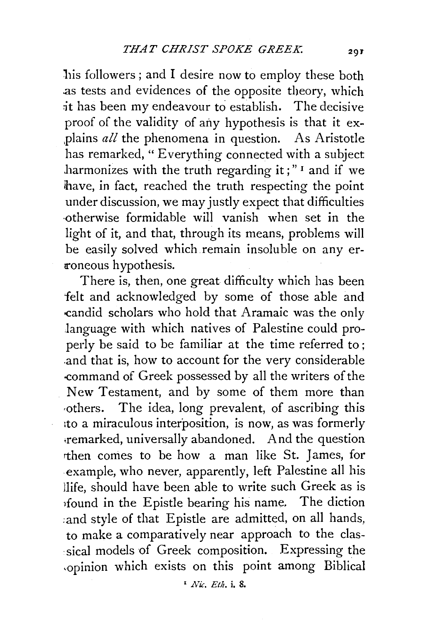his followers; and I desire now to employ these both .as tests and evidences of the opposite theory, which ;it has been my endeavour to establish. The decisive proof of the validity of any hypothesis is that it explains *all* the phenomena in question. As Aristotle has remarked, "Everything connected with a subject harmonizes with the truth regarding it;"  $\frac{1}{1}$  and if we have, in fact, reached the truth respecting the point under discussion, we may justly expect that difficulties ·otherwise formidable will vanish when set in the light of it, and that, through its means, problems will be easily solved which remain insoluble on any er roneous hypothesis.

There is, then, one great difficulty which has been felt and acknowledged by some of those able and -candid scholars who hold that Aramaic was the only language with which natives of Palestine could properly be said to be familiar at the time referred to; .and that is, how to account for the very considerable -command of Greek possessed by all the writers of the New Testament, and by some of them more than ·others. The idea, long prevalent, of ascribing this 1to a miraculous interposition, is now, as was formerly ;remarked, universally abandoned. And the question rthen comes to be how a man like St. James, for example, who never, apparently, left Palestine all his Hife, should have been able to write such Greek as is 1found in the Epistle bearing his name. The diction ;and style of that Epistle are admitted, on all hands, to make a comparatively near approach to the classical models of Greek composition. Expressing the .opinion which exists on this point among Biblical

' *Nic. Etlt.* i. 8.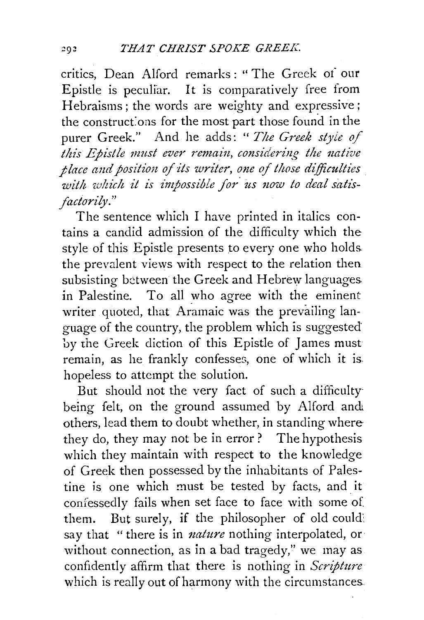critics, Dean Alford remarks : " The Greek of our Epistle is peculiar. It is comparatively free from Hebraisms ; the words are weighty and expressive; the constructions for the most part those found in the purer Greek." And he adds: "*The Greek style of this Epistle must ever remain, considering the native place and position of its writer, one of those difficulties* with which it is impossible for us now to deal satis*factorily."* 

The sentence which I have printed in italics contains a candid admission of the difficulty which the style of this Epistle presents to every one who holds. the prevalent views with respect to the relation then subsisting between the Greek and Hebrew languages. in Palestine. To all who agree with the eminent writer quoted, that Aramaic was the prevailing language of the country, the problem which is suggested by the Greek diction of this Epistle of James must remain, as he frankly confesses, one of which it is. hopeless to attempt the solution.

But should not the very fact of such a difficulty being felt, on the ground assumed by Alford and others, lead them to doubt whether, in standing where they do, they may not be in error ? The hypothesis which they maintain with respect to the knowledge of Greek then possessed by the inhabitants of Palestine is one which must be tested by facts, and it confessedly fails when set face to face with some of. them. But surely, if the philosopher of old could: say that "there is in *nature* nothing interpolated, or without connection, as in a bad tragedy," we may as confidently affirm that there is nothing in *Scripture*  which is really out of harmony with the circumstances.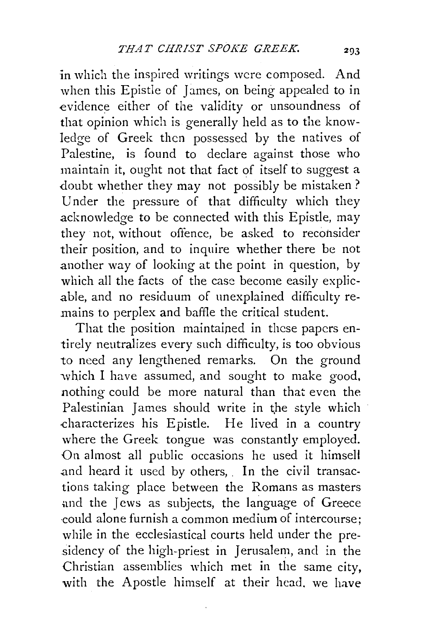in which the inspired writings were composed. And when this Epistle of James, on being appealed to in evidence either of the validity or unsoundness of that opinion which is generally held as to the knowledge of Greek then possessed by the natives of Palestine, is found to declare against those who maintain it, ought not that fact of itself to suggest a doubt whether they may not possibly be mistaken? Under the pressure of that difficulty which they acknowledge to be connected with this Epistle, may they not, without offence, be asked to reconsider their position, and to inquire whether there be not another way of looking at the point in question, by which all the facts of the case become easily explicable, and no residuum of unexplained difficulty remains to perplex and baffle the critical student.

That the position maintained in these papers entirely neutralizes every such difficulty, is too obvious to need any lengthened remarks. On the ground which I have assumed, and sought to make good, nothing could be more natural than that even the Palestinian James should write in the style which -characterizes his Epistle. He lived in a country where the Greek tongue was constantly employed. On almost all public occasions he used it himsell and heard it used by others, In the civil transactions taking place between the Romans as masters .and the Jews as subjects, the language of Greece ·could alone furnish a common medium of intercourse; while in the ecclesiastical courts held under the presidency of the high-priest in Jerusalem, and in the Christian assemblies which met in the same city, with the Apostle himself at their head, we have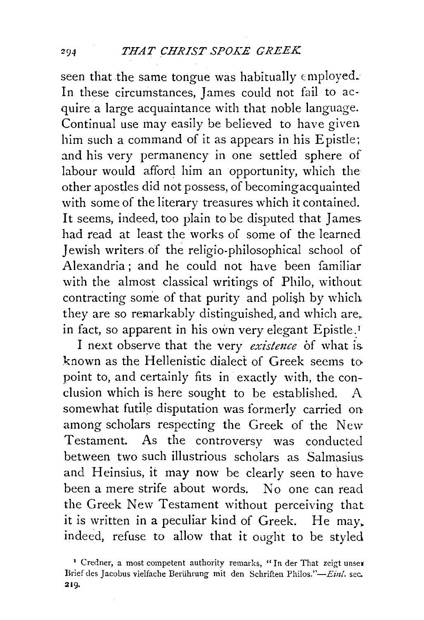seen that the same tongue was habitually employed. In these circumstances, James could not fail to acquire a large acquaintance with that noble language. Continual use may easily be believed to have given him such a command of it as appears in his Epistle; and his very permanency in one settled sphere of labour would afford him an opportunity, which the other apostles did not possess, of becoming acquainted with some of the literary treasures which it contained. It seems, indeed, too plain to be disputed that James. had read at least the works of some of the learned Jewish writers of the religio-philosophical school of Alexandria; and he could not have been familiar with the almost classical writings of Philo, without contracting some of that purity and polish by which they are so remarkably distinguished, and which are,. in fact, so apparent in his own very elegant Epistle.<sup>1</sup>

I next observe that the very *existmce* 6f what is. known as the Hellenistic dialect of Greek seems to point to, and certainly fits in exactly with, the conclusion which is here sought to be established. A somewhat futile disputation was formerly carried on among scholars respecting the Greek of the New Testament. As the controversy was conducted between two such illustrious scholars as Salmasius. and Heinsius, it may now be clearly seen to have been a mere strife about words. No one can read the Greek New Testament without perceiving that it is written in a peculiar kind of Greek. He may. indeed, refuse to allow that it ought to be styled

<sup>&#</sup>x27; Credner, a most competent authority remarks, "In der That zeigt unser Brief des Jacobus vielfache Berührung mit den Schriften Philos."-Einl. sec. 219.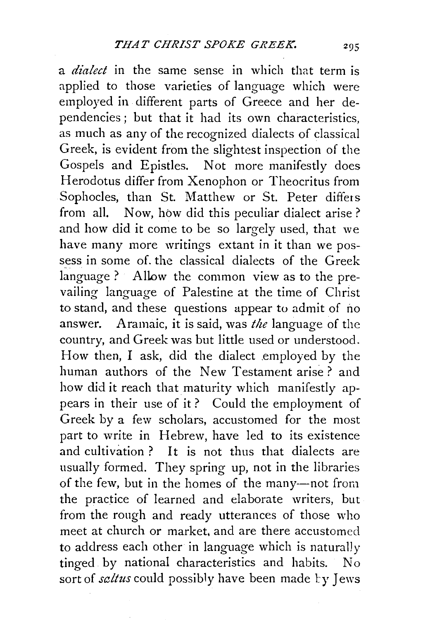a *dialect* in the same sense in which that term is applied to those varieties of language which were employed in different parts of Greece and her dependencies ; but that it had its own characteristics, as much as any of the recognized dialects of classical Greek, is evident from the slightest inspection of the Gospels and Epistles. Not more manifestly does Herodotus differ from Xenophon or Theocritus from Sophocles, than St. Matthew or St. Peter differs from all. Now, how did this peculiar dialect arise ? and how did it come to be so largely used, that we have many more writings extant in it than we possess in some of. the classical dialects of the Greek language ? Allow the common view as to the prevailing language of Palestine at the time of Christ to stand, and these questions appear to admit of no answer. Aramaic, it is said, was *the* language of the country, and Greek was but little used or understood. How then, I ask, did the dialect employed by the human authors of the New Testament arise? and how did it reach that maturity which manifestly appears in their use of it? Could the employment of Greek by a few scholars, accustomed for the most part to write in Hebrew, have led to its existence and cultivation ? It is not thus that dialects are usually formed. They spring up, not in the libraries of the few, but in the homes of the many-not from the practice of learned and elaborate writers, but from the rough and ready utterances of those who meet at church or market, and are there accustomed to address each other in language which is naturally tinged by national characteristics and habits. No sort of *saltus* could possibly have been made by Jews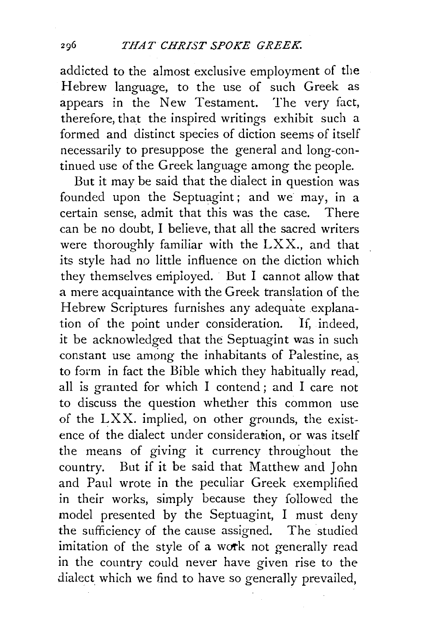addicted to the almost exclusive employment of the Hebrew language, to the use of such Greek as appears in the New Testament. The very fact, therefore, that the inspired writings exhibit such a formed and distinct species of diction seems of itself necessarily to presuppose the general and long-continued use of the Greek language among the people.

But it may be said that the dialect in question was founded upon the Septuagint; and we may, in a certain sense, admit that this was the case. There can be no doubt, I believe, that all the sacred writers were thoroughly familiar with the LXX., and that its style had no little influence on the diction which they themselves employed. But I cannot allow that a mere acquaintance with the Greek translation of the Hebrew Scriptures furnishes any adequate explanation of the point under consideration. If, indeed, it be acknowledged that the Septuagint was in such constant use among the inhabitants of Palestine, as to farm in fact the Bible which they habitually read, all is granted for which I contend ; and I care not to discuss the question whether this common use of the LXX. implied, on other grounds, the existence of the dialect under consideration, or was itself the means of giving it currency throughout the country. But if it be said that Matthew and John and Paul wrote in the peculiar Greek exemplified in their works, simply because they followed the model presented by the Septuagint, I must deny the sufficiency of the cause assigned. The studied imitation of the style of a work not generally read in the country could never have given rise to the dialect which we find to have so generally prevailed,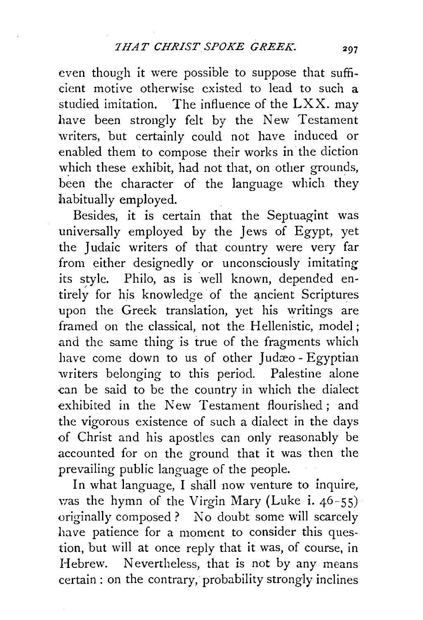even though it were possible to suppose that sufficient motive otherwise existed to lead to such a studied imitation. The influence of the  $LXX$ . may have been strongly felt by the New Testament writers, but certainly could not have induced or enabled them to compose their works in the diction which these exhibit, had not that, on other grounds, been the character of the language which they habitually employed.

Besides, it is certain that the Septuagint was universally employed by the Jews of Egypt, yet the Judaic writers of that country were very far from either designedly or unconsciously imitating its style. Philo, as is well known, depended entirely for his knowledge of the ancient Scriptures upon the Greek translation, yet his writings are framed on the classical, not the Hellenistic, model; and the same thing is true of the fragments which have come down to us of other Judæo - Egyptian writers belonging to this period. Palestine alone can be said to be the country in which the dialect exhibited in the New Testament flourished ; and the vigorous existence of such a dialect in the days of Christ and his apostles can only reasonably be accounted for on the ground that it was then the prevailing public language of the people.

In what language, I shall now venture to inquire, was the hymn of the Virgin Mary (Luke i.  $46-55$ ) originally composed ? No doubt some will scarcely have patience for a moment to consider this question, but will at once reply that it was, of course, in Hebrew. Nevertheless, that is not by any means certain : on the contrary, probability strongly inclines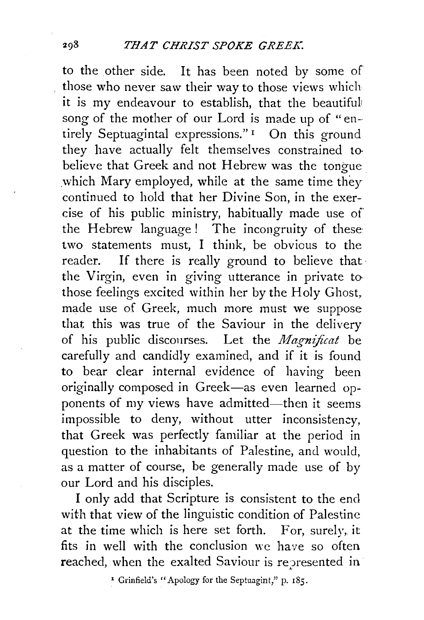to the other side. It has been noted by some of those who never saw their way to those views which it is my endeavour to establish, that the beautiful' song of the mother of our Lord is made up of "entirely Septuagintal expressions."<sup>1</sup> On this ground they have actually felt themselves constrained to believe that Greek and not Hebrew was the tongue which Mary employed, while at the same time they continued to hold that her Divine Son, in the exercise of his public ministry, habitually made use of the Hebrew language ! The incongruity of these two statements must, I think, be obvious to the reader. If there is really ground to believe that· the Virgin, even in giving utterance in private to those feelings excited within her by the Holy Ghost, made use of Greek, much more must we suppose that this was true of the Saviour in the delivery of his public discourses. Let the  $\textit{Magnifcat}$  be carefully and candidly examined, and if it is found to bear clear internal evidence of having been originally composed in Greek-as even learned opponents of my views have admitted-then it seems impossible to deny, without utter inconsistency. that Greek was perfectly familiar at the period in question to the inhabitants of Palestine, and would, as a matter of course, be generally made use of by our Lord and his disciples.

I only add that Scripture is consistent to the end with that view of the linguistic condition of Palestine at the time which is here set forth. For, surely, it fits in well with the conclusion we have so often reached, when the exalted Saviour is represented in

• Grinfield's "Apology for the Septuagint," p. 185.